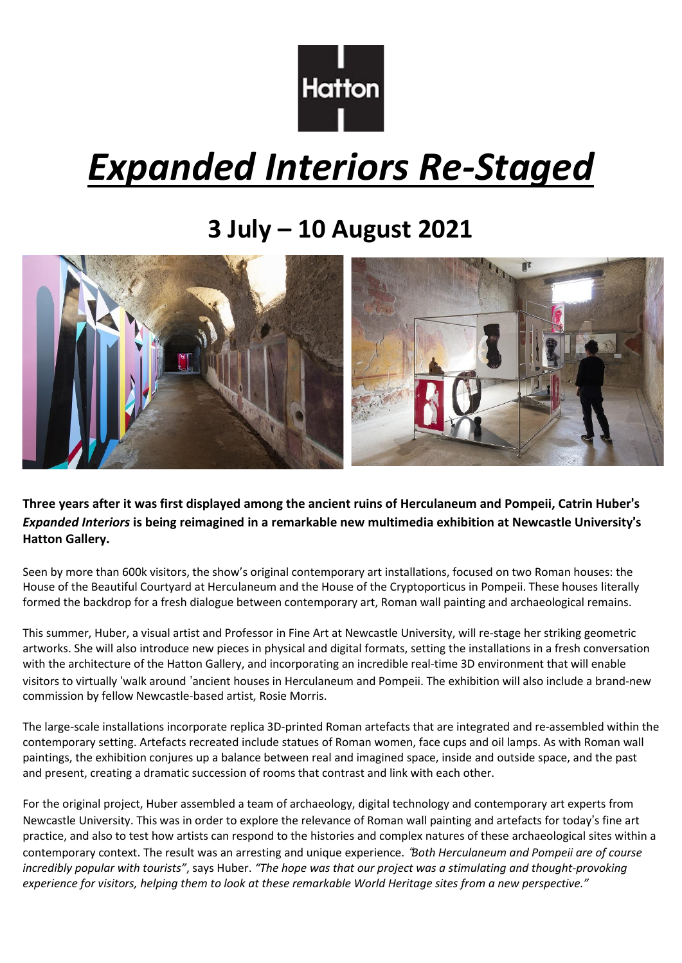

# *Expanded Interiors Re-Staged*

# **3 July – 10 August 2021**



Three years after it was first displayed among the ancient ruins of Herculaneum and Pompeii, Catrin Huber's *Expanded Interiors* **is being reimagined in a remarkable new multimedia exhibition at Newcastle University**'**s Hatton Gallery.**

Seen by more than 600k visitors, the show's original contemporary art installations, focused on two Roman houses: the House of the Beautiful Courtyard at Herculaneum and the House of the Cryptoporticus in Pompeii. These houses literally formed the backdrop for a fresh dialogue between contemporary art, Roman wall painting and archaeological remains.

This summer, Huber, a visual artist and Professor in Fine Art at Newcastle University, will re-stage her striking geometric artworks. She will also introduce new pieces in physical and digital formats, setting the installations in a fresh conversation with the architecture of the Hatton Gallery, and incorporating an incredible real-time 3D environment that will enable visitors to virtually 'walk around 'ancient houses in Herculaneum and Pompeii. The exhibition will also include a brand-new commission by fellow Newcastle-based artist, Rosie Morris.

The large-scale installations incorporate replica 3D-printed Roman artefacts that are integrated and re-assembled within the contemporary setting. Artefacts recreated include statues of Roman women, face cups and oil lamps. As with Roman wall paintings, the exhibition conjures up a balance between real and imagined space, inside and outside space, and the past and present, creating a dramatic succession of rooms that contrast and link with each other.

For the original project, Huber assembled a team of archaeology, digital technology and contemporary art experts from Newcastle University. This was in order to explore the relevance of Roman wall painting and artefacts for today's fine art practice, and also to test how artists can respond to the histories and complex natures of these archaeological sites within a contemporary context. The result was an arresting and unique experience. "*Both Herculaneum and Pompeii are of course incredibly popular with tourists"*, says Huber. *"The hope was that our project was a stimulating and thought-provoking* experience for visitors, helping them to look at these remarkable World Heritage sites from a new perspective."